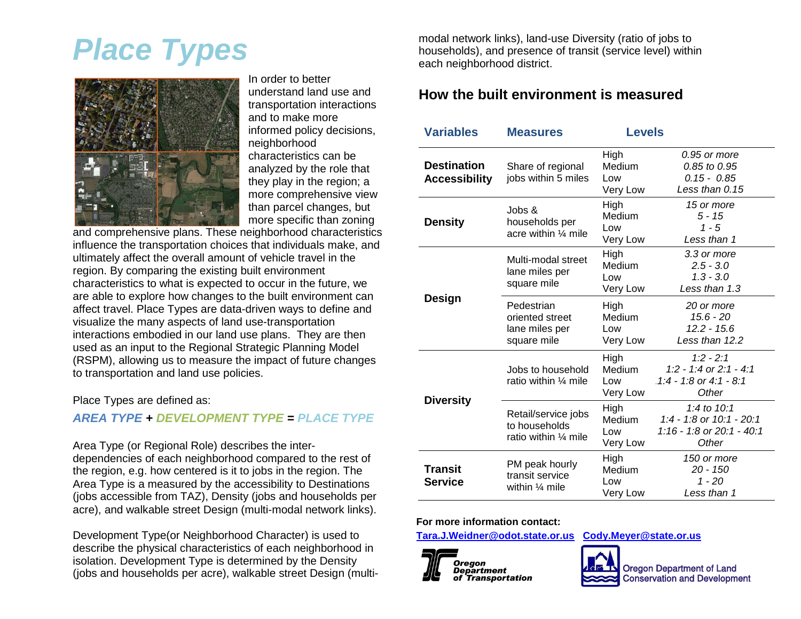# *Place Types*



In order to better understand land use and transportation interactions and to make more informed policy decisions, neighborhood characteristics can be analyzed by the role that they play in the region; a more comprehensive view than parcel changes, but more specific than zoning

and comprehensive plans. These neighborhood characteristics influence the transportation choices that individuals make, and ultimately affect the overall amount of vehicle travel in the region. By comparing the existing built environment characteristics to what is expected to occur in the future, we are able to explore how changes to the built environment can affect travel. Place Types are data-driven ways to define and visualize the many aspects of land use-transportation interactions embodied in our land use plans. They are then used as an input to the Regional Strategic Planning Model (RSPM), allowing us to measure the impact of future changes to transportation and land use policies.

#### Place Types are defined as:

#### *AREA TYPE + DEVELOPMENT TYPE = PLACE TYPE*

Area Type (or Regional Role) describes the interdependencies of each neighborhood compared to the rest of the region, e.g. how centered is it to jobs in the region. The Area Type is a measured by the accessibility to Destinations (jobs accessible from TAZ), Density (jobs and households per acre), and walkable street Design (multi-modal network links).

Development Type(or Neighborhood Character) is used to describe the physical characteristics of each neighborhood in isolation. Development Type is determined by the Density (jobs and households per acre), walkable street Design (multimodal network links), land-use Diversity (ratio of jobs to households), and presence of transit (service level) within each neighborhood district.

#### **How the built environment is measured**

| <b>Variables</b>                           | <b>Measures</b>                                                | <b>Levels</b>                     |                                                                                 |
|--------------------------------------------|----------------------------------------------------------------|-----------------------------------|---------------------------------------------------------------------------------|
| <b>Destination</b><br><b>Accessibility</b> | Share of regional<br>jobs within 5 miles                       | High<br>Medium<br>Low<br>Very Low | 0.95 or more<br>0.85 to 0.95<br>$0.15 - 0.85$<br>Less than 0.15                 |
| <b>Density</b>                             | Jobs &<br>households per<br>acre within $\frac{1}{4}$ mile     | High<br>Medium<br>Low<br>Very Low | 15 or more<br>$5 - 15$<br>$1 - 5$<br>Less than 1                                |
|                                            | Multi-modal street<br>lane miles per<br>square mile            | High<br>Medium<br>Low<br>Very Low | 3.3 or more<br>$2.5 - 3.0$<br>$1.3 - 3.0$<br>Less than 1.3                      |
| <b>Design</b>                              | Pedestrian<br>oriented street<br>lane miles per<br>square mile | High<br>Medium<br>Low<br>Very Low | 20 or more<br>$15.6 - 20$<br>$12.2 - 15.6$<br>Less than 12.2                    |
|                                            | Jobs to household<br>ratio within $\frac{1}{4}$ mile           | High<br>Medium<br>Low<br>Very Low | $1:2 - 2:1$<br>1:2 - 1:4 or 2:1 - 4:1<br>$1:4 - 1:8$ or 4:1 - 8:1<br>Other      |
| <b>Diversity</b>                           | Retail/service jobs<br>to households<br>ratio within 1/4 mile  | High<br>Medium<br>Low<br>Very Low | 1:4 to $10:1$<br>1:4 - 1:8 or 10:1 - 20:1<br>1:16 - 1:8 or 20:1 - 40:1<br>Other |
| <b>Transit</b><br><b>Service</b>           | PM peak hourly<br>transit service<br>within $\frac{1}{4}$ mile | High<br>Medium<br>Low<br>Very Low | 150 or more<br>20 - 150<br>$1 - 20$<br>Less than 1                              |

#### **For more information contact:**

**[Tara.J.Weidner@odot.state.or.us](mailto:Tara.J.Weidner@odot.state.or.us) [Cody.Meyer@state.or.us](mailto:Cody.Meyer@state.or.us)**



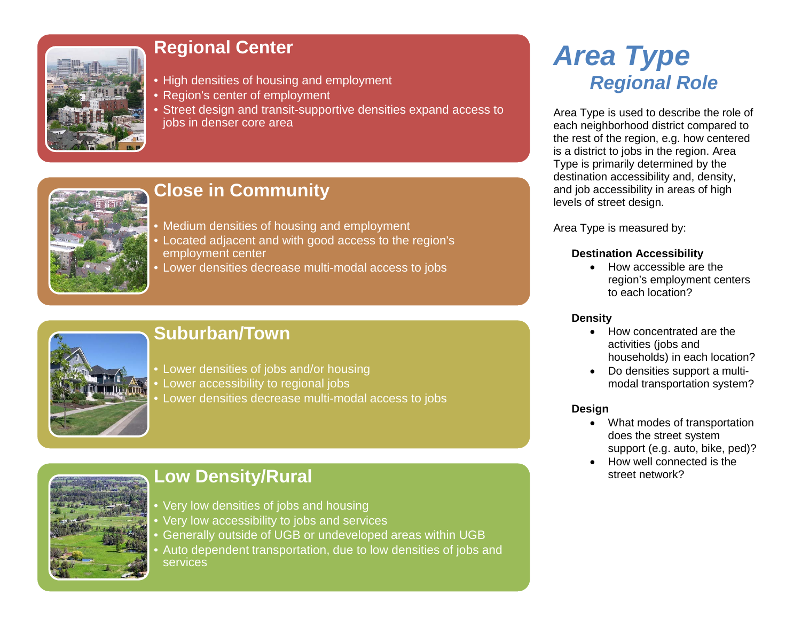

# **Regional Center**

- High densities of housing and employment
- Region's center of employment
- Street design and transit-supportive densities expand access to jobs in denser core area



# **Close in Community**

- Medium densities of housing and employment
- Located adjacent and with good access to the region's employment center
- Lower densities decrease multi-modal access to jobs



### **Suburban/Town**

- Lower densities of jobs and/or housing
- Lower accessibility to regional jobs
- Lower densities decrease multi-modal access to jobs

# **Low Density/Rural**

- Very low densities of jobs and housing
- Very low accessibility to jobs and services
- Generally outside of UGB or undeveloped areas within UGB
- Auto dependent transportation, due to low densities of jobs and services

# *Area Type Regional Role*

Area Type is used to describe the role of each neighborhood district compared to the rest of the region, e.g. how centered is a district to jobs in the region. Area Type is primarily determined by the destination accessibility and, density, and job accessibility in areas of high levels of street design.

Area Type is measured by:

#### **Destination Accessibility**

• How accessible are the region's employment centers to each location?

#### **Density**

- How concentrated are the activities (jobs and households) in each location?
- Do densities support a multimodal transportation system?

#### **Design**

- What modes of transportation does the street system support (e.g. auto, bike, ped)?
- How well connected is the street network?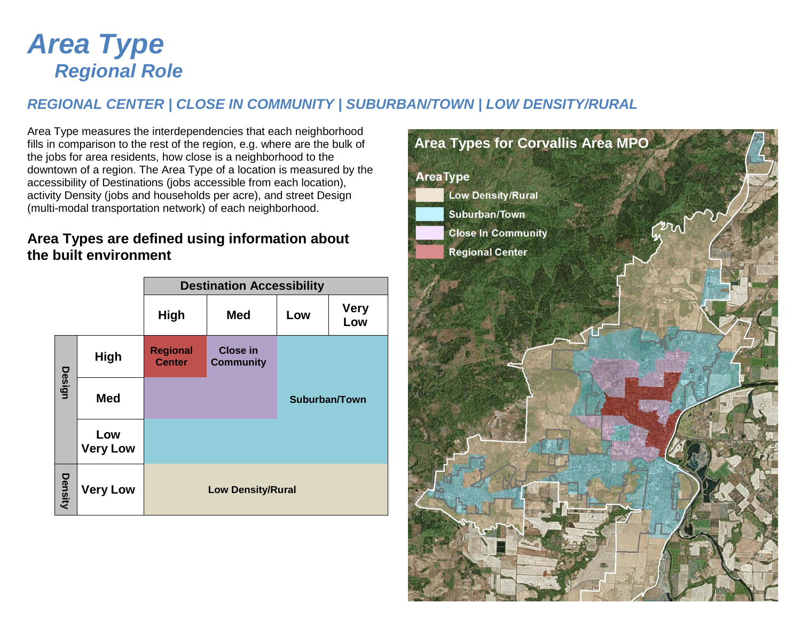# *Area Type Regional Role*

### *REGIONAL CENTER | CLOSE IN COMMUNITY | SUBURBAN/TOWN | LOW DENSITY/RURAL*

Area Type measures the interdependencies that each neighborhood fills in comparison to the rest of the region, e.g. where are the bulk of the jobs for area residents, how close is a neighborhood to the downtown of a region. The Area Type of a location is measured by the accessibility of Destinations (jobs accessible from each location), activity Density (jobs and households per acre), and street Design (multi-modal transportation network) of each neighborhood.

### **Area Types are defined using information about the built environment**

|               |                                             | <b>Destination Accessibility</b> |                                     |               |                    |  |
|---------------|---------------------------------------------|----------------------------------|-------------------------------------|---------------|--------------------|--|
|               |                                             | <b>High</b>                      | <b>Med</b>                          | Low           | <b>Very</b><br>Low |  |
|               | <b>High</b>                                 | <b>Regional</b><br><b>Center</b> | <b>Close in</b><br><b>Community</b> |               |                    |  |
| <b>Design</b> | <b>Med</b>                                  |                                  |                                     | Suburban/Town |                    |  |
|               | Low<br><b>Very Low</b>                      |                                  |                                     |               |                    |  |
| Density       | <b>Very Low</b><br><b>Low Density/Rural</b> |                                  |                                     |               |                    |  |

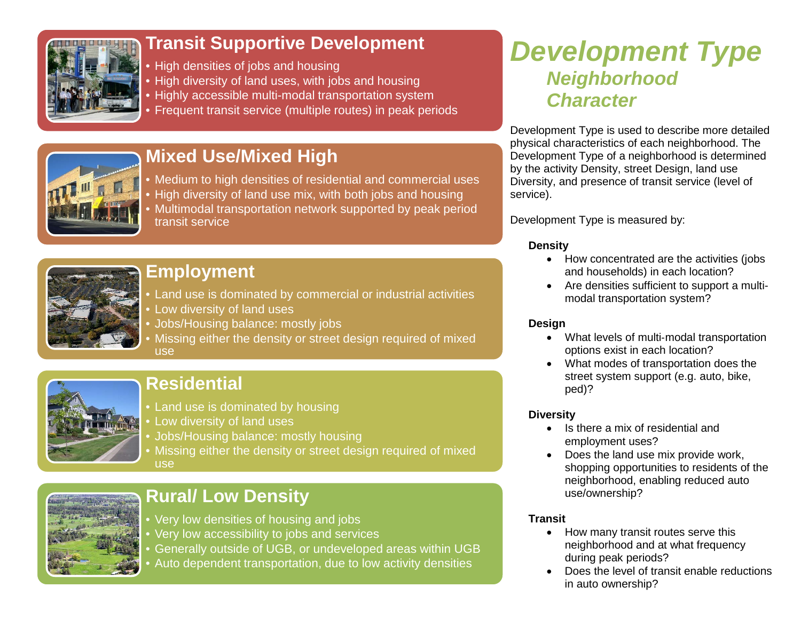

# **Transit Supportive Development**

- High densities of jobs and housing
- High diversity of land uses, with jobs and housing
- Highly accessible multi-modal transportation system
- Frequent transit service (multiple routes) in peak periods



# **Mixed Use/Mixed High**

- Medium to high densities of residential and commercial uses
- High diversity of land use mix, with both jobs and housing • Multimodal transportation network supported by peak period transit service



### **Employment**

• Land use is dominated by commercial or industrial activities • Low diversity of land uses

- Jobs/Housing balance: mostly jobs
- Missing either the density or street design required of mixed use



# **Residential**

- Land use is dominated by housing
- Low diversity of land uses
- Jobs/Housing balance: mostly housing
- Missing either the density or street design required of mixed use



# **Rural/ Low Density**

- Very low densities of housing and jobs
- Very low accessibility to jobs and services
- Generally outside of UGB, or undeveloped areas within UGB
- Auto dependent transportation, due to low activity densities

# *Development Type Neighborhood Character*

Development Type is used to describe more detailed physical characteristics of each neighborhood. The Development Type of a neighborhood is determined by the activity Density, street Design, land use Diversity, and presence of transit service (level of service).

Development Type is measured by:

#### **Density**

- How concentrated are the activities (jobs and households) in each location?
- Are densities sufficient to support a multimodal transportation system?

#### **Design**

- What levels of multi-modal transportation options exist in each location?
- What modes of transportation does the street system support (e.g. auto, bike, ped)?

#### **Diversity**

- Is there a mix of residential and employment uses?
- Does the land use mix provide work, shopping opportunities to residents of the neighborhood, enabling reduced auto use/ownership?

#### **Transit**

- How many transit routes serve this neighborhood and at what frequency during peak periods?
- Does the level of transit enable reductions in auto ownership?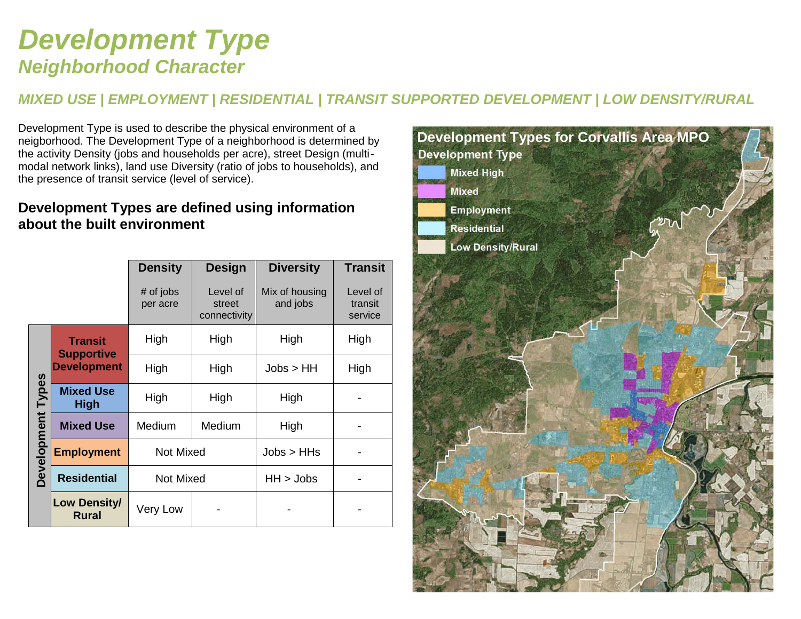# *Development Type Neighborhood Character*

### *MIXED USE | EMPLOYMENT | RESIDENTIAL | TRANSIT SUPPORTED DEVELOPMENT | LOW DENSITY/RURAL*

Development Type is used to describe the physical environment of a neigborhood. The Development Type of a neighborhood is determined by the activity Density (jobs and households per acre), street Design (multi‐ modal network links), land use Diversity (ratio of jobs to households), and the presence of transit service (level of service).

### **Development Types are defined using information about the built environment**

|                   |                                         | <b>Density</b>        | <b>Design</b>                      | <b>Diversity</b>           | <b>Transit</b>                 |
|-------------------|-----------------------------------------|-----------------------|------------------------------------|----------------------------|--------------------------------|
|                   |                                         | # of jobs<br>per acre | Level of<br>street<br>connectivity | Mix of housing<br>and jobs | Level of<br>transit<br>service |
|                   | <b>Transit</b>                          | High                  | High                               | High                       | High                           |
|                   | <b>Supportive</b><br><b>Development</b> | High                  | High                               | Jobs > HH                  | High                           |
| Development Types | <b>Mixed Use</b><br>High<br><b>High</b> |                       | High                               | High                       |                                |
|                   | <b>Mixed Use</b>                        | Medium                | Medium                             | High                       |                                |
|                   | <b>Employment</b>                       | Not Mixed             |                                    | Jobs > HHS                 |                                |
|                   | <b>Residential</b>                      | <b>Not Mixed</b>      |                                    | $HH$ > Jobs                |                                |
|                   | Low Density/<br><b>Rural</b>            | Very Low              |                                    |                            |                                |

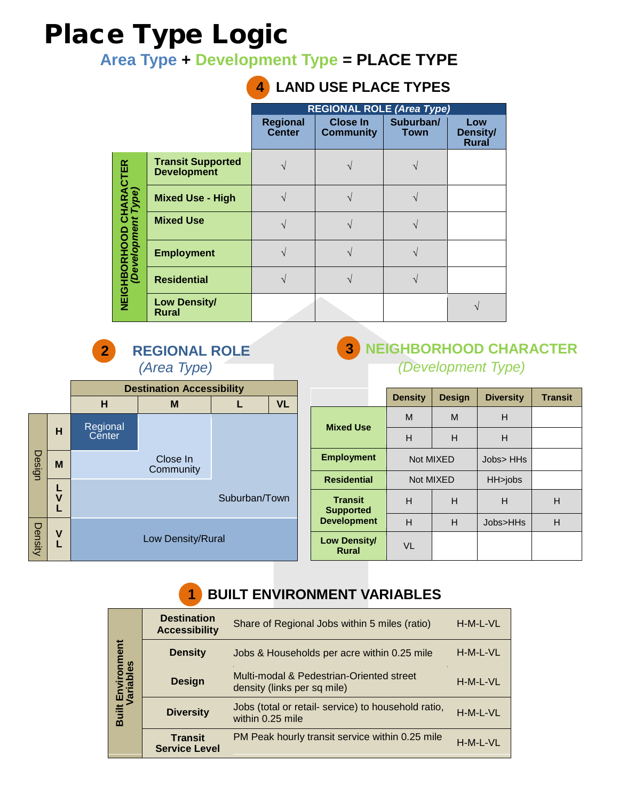# Place Type Logic

**Area Type + Development Type = PLACE TYPE**

|                                                             |                                                | <b>REGIONAL ROLE (Area Type)</b> |                              |                          |                                 |  |  |
|-------------------------------------------------------------|------------------------------------------------|----------------------------------|------------------------------|--------------------------|---------------------------------|--|--|
|                                                             |                                                | <b>Regional</b><br><b>Center</b> | Close In<br><b>Community</b> | Suburban/<br><b>Town</b> | Low<br>Density/<br><b>Rural</b> |  |  |
|                                                             | <b>Transit Supported</b><br><b>Development</b> |                                  |                              |                          |                                 |  |  |
|                                                             | <b>Mixed Use - High</b>                        |                                  |                              |                          |                                 |  |  |
|                                                             | <b>Mixed Use</b>                               |                                  |                              |                          |                                 |  |  |
| <b>NEIGHBORHOOD CHARACTER</b><br>( <i>Development Type)</i> | <b>Employment</b>                              |                                  |                              |                          |                                 |  |  |
|                                                             | <b>Residential</b>                             |                                  |                              |                          |                                 |  |  |
|                                                             | <b>Low Density/</b><br><b>Rural</b>            |                                  |                              |                          |                                 |  |  |

# **4 LAND USE PLACE TYPES**



Low Density/Rural

### **3 NEIGHBORHOOD CHARACTER**  *(Development Type)*

|                                    | <b>Density</b> | <b>Design</b> | <b>Diversity</b> | <b>Transit</b> |
|------------------------------------|----------------|---------------|------------------|----------------|
|                                    | M              | M             | н                |                |
| <b>Mixed Use</b>                   | н              | н             | н                |                |
| <b>Employment</b>                  | Not MIXED      |               | Jobs> HHs        |                |
| <b>Residential</b>                 | Not MIXED      |               | HH>jobs          |                |
| <b>Transit</b><br><b>Supported</b> | н              | н             | н                | н              |
| <b>Development</b>                 | H<br>н         |               | Jobs>HHs         | н              |
| Low Density/<br><b>Rural</b>       | VL             |               |                  |                |

## **1 BUILT ENVIRONMENT VARIABLES**

|                                | <b>Destination</b><br><b>Accessibility</b> | Share of Regional Jobs within 5 miles (ratio)                           | H-M-L-VL |
|--------------------------------|--------------------------------------------|-------------------------------------------------------------------------|----------|
|                                | <b>Density</b>                             | Jobs & Households per acre within 0.25 mile                             | H-M-L-VL |
| Built Environment<br>Variables | <b>Design</b>                              | Multi-modal & Pedestrian-Oriented street<br>density (links per sq mile) | H-M-L-VL |
|                                | <b>Diversity</b>                           | Jobs (total or retail- service) to household ratio,<br>within 0.25 mile | H-M-L-VL |
|                                | <b>Transit</b><br><b>Service Level</b>     | PM Peak hourly transit service within 0.25 mile                         | H-M-L-VL |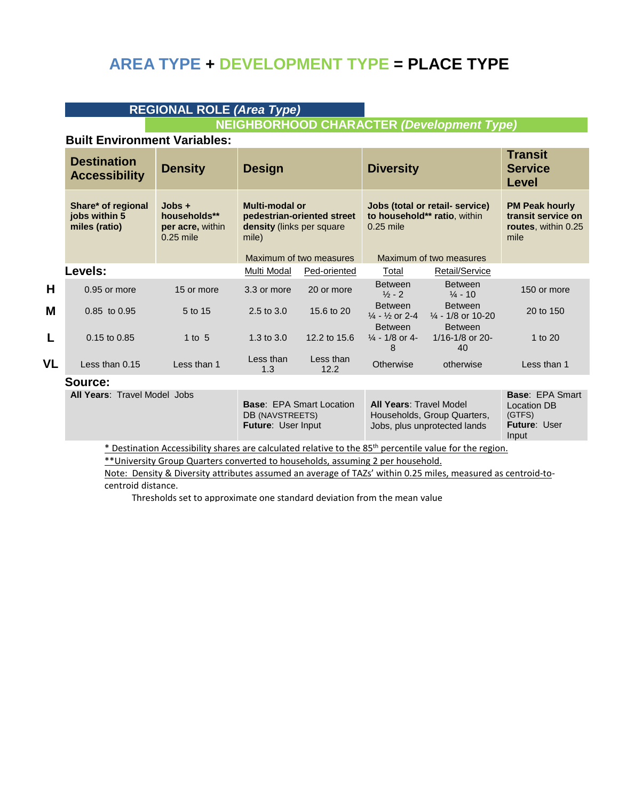### **AREA TYPE + DEVELOPMENT TYPE = PLACE TYPE**

### **REGIONAL ROLE** *(Area Type)*

#### **NEIGHBORHOOD CHARACTER** *(Development Type)*

#### **Built Environment Variables:**

|    | <b>Destination</b><br><b>Accessibility</b>           | <b>Density</b>                                              | <b>Design</b>                                                       |                            | <b>Diversity</b>                                       |                                                                 | <b>Transit</b><br><b>Service</b><br><b>Level</b>                           |
|----|------------------------------------------------------|-------------------------------------------------------------|---------------------------------------------------------------------|----------------------------|--------------------------------------------------------|-----------------------------------------------------------------|----------------------------------------------------------------------------|
|    | Share* of regional<br>jobs within 5<br>miles (ratio) | $Jobs +$<br>households**<br>per acre, within<br>$0.25$ mile | <b>Multi-modal or</b><br><b>density</b> (links per square)<br>mile) | pedestrian-oriented street | $0.25$ mile                                            | Jobs (total or retail- service)<br>to household** ratio, within | <b>PM Peak hourly</b><br>transit service on<br>routes, within 0.25<br>mile |
|    |                                                      |                                                             |                                                                     | Maximum of two measures    |                                                        | Maximum of two measures                                         |                                                                            |
|    | Levels:                                              |                                                             | Multi Modal                                                         | Ped-oriented               | Total                                                  | Retail/Service                                                  |                                                                            |
| Н  | $0.95$ or more                                       | 15 or more                                                  | 3.3 or more                                                         | 20 or more                 | <b>Between</b><br>$\frac{1}{2}$ - 2                    | <b>Between</b><br>$\frac{1}{4}$ - 10                            | 150 or more                                                                |
| M  | 0.85 to 0.95                                         | 5 to 15                                                     | $2.5$ to $3.0$                                                      | 15.6 to 20                 | <b>Between</b><br>$\frac{1}{4}$ - $\frac{1}{2}$ or 2-4 | <b>Between</b><br>$\frac{1}{4}$ - 1/8 or 10-20                  | 20 to 150                                                                  |
| L  | $0.15$ to $0.85$                                     | 1 to $5$                                                    | 1.3 to $3.0$                                                        | 12.2 to 15.6               | <b>Between</b><br>$\frac{1}{4}$ - 1/8 or 4-<br>8       | <b>Between</b><br>$1/16 - 1/8$ or 20-<br>40                     | 1 to $20$                                                                  |
| VL | Less than $0.15$                                     | Less than 1                                                 | Less than<br>1.3                                                    | Less than<br>12.2          | Otherwise                                              | otherwise                                                       | Less than 1                                                                |

#### **Source:**

**All Years**: Travel Model Jobs

| <b>Base: EPA Smart Location</b><br><b>DB (NAVSTREETS)</b><br><b>Future: User Input</b> | <b>All Years: Travel Model</b><br>Households, Group Quarters,<br>Jobs, plus unprotected lands | <b>Base: EPA Smart</b><br>Location DB<br>(GTFS)<br><b>Future: User</b> |
|----------------------------------------------------------------------------------------|-----------------------------------------------------------------------------------------------|------------------------------------------------------------------------|
|                                                                                        |                                                                                               | Input                                                                  |

\* Destination Accessibility shares are calculated relative to the 85th percentile value for the region.

\*\* University Group Quarters converted to households, assuming 2 per household.

Note: Density & Diversity attributes assumed an average of TAZs' within 0.25 miles, measured as centroid-tocentroid distance.

Thresholds set to approximate one standard deviation from the mean value